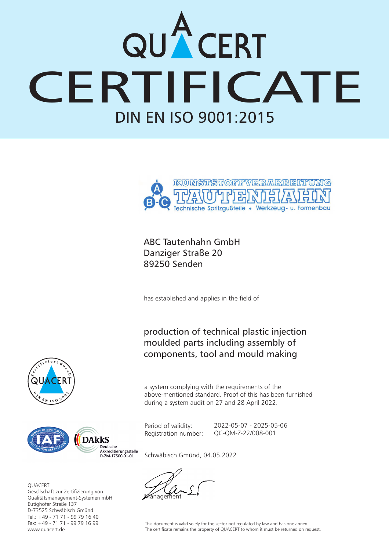## DIN EN ISO 9001:2015 CERT



ABC Tautenhahn GmbH Danziger Straße 20 89250 Senden

has established and applies in the field of

production of technical plastic injection moulded parts including assembly of components, tool and mould making

a system complying with the requirements of the above-mentioned standard. Proof of this has been furnished during a system audit on 27 and 28 April 2022.

Period of validity: Registration number: 2022-05-07 - 2025-05-06 QC-QM-Z-22/008-001





**OUACERT** Gesellschaft zur Zertifizierung von Qualitätsmanagement-Systemen mbH Eutighofer Straße 137 D-73525 Schwäbisch Gmünd Tel.: +49 - 71 71 - 99 79 16 40 Fax: +49 - 71 71 - 99 79 16 99 www.quacert.de

Schwäbisch Gmünd, 04.05.2022

manar

This document is valid solely for the sector not regulated by law and has one annex. The certificate remains the property of QUACERT to whom it must be returned on request.